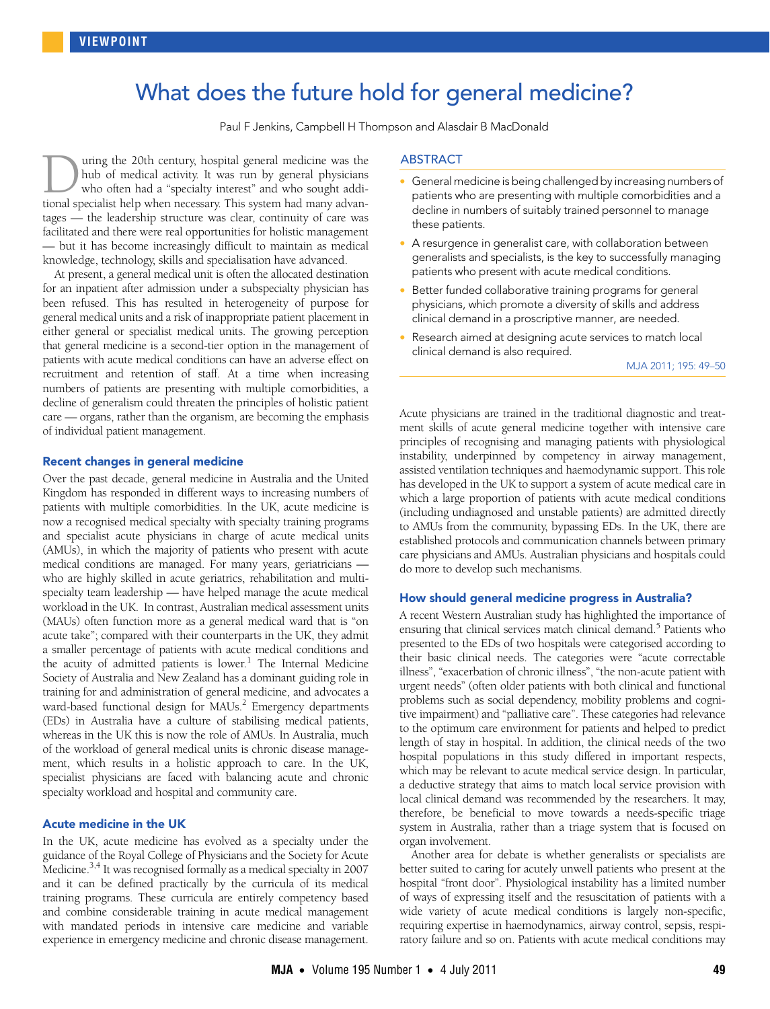# What does the future hold for general medicine?

Paul F Jenkins, Campbell H Thompson and Alasdair B MacDonald

<span id="page-0-0"></span>uring the 20th century, hospital general medicine was the hub of medical activity. It was run by general physicians who often had a "specialty interest" and who sought addi-I uring the 20th century, hospital general medicine was the hub of medical activity. It was run by general physicians who often had a "specialty interest" and who sought additional specialist help when necessary. This syst tages — the leadership structure was clear, continuity of care was facilitated and there were real opportunities for holistic management — but it has become increasingly difficult to maintain as medical knowledge, technology, skills and specialisation have advanced.

for an inpatient after admission under a subspecialty physician has been refused. This has res[ult](#page-0-0)[ed](#page-1-5) in heterogeneity of purpose for general medical units and a risk of inappropriate patient placement in either general or specialist medical units. The growing perception that general medicine is a second-tier option in the management of At present, a general medical unit is often the allocated destination patients with acute medical conditions can have an adverse effect on recruitment and retention of staff. At a time when increasing numbers of patients are presenting with multiple comorbidities, a decline of generalism could threaten the principles of holistic patient care — organs, rather than the organism, are becoming the emphasis of individual patient management.

## Recent changes in general medicine

Over the past decade, general medicine in Australia and the United Kingdom has responded in different ways to increasing numbers of patients with multiple comorbidities. In the UK, acute medicine is now a recognised medical specialty with specialty training programs and specialist acute physicians in charge of acute medical units (AMUs), in which the majority of patients who present with acute medical conditions are managed. For many years, geriatricians who are highly skilled in acute geriatrics, rehabilitation and multispecialty team leadership — have helped manage the acute medical workload in the UK. In contrast, Australian medical assessment units (MAUs) often function more as a general medical ward that is "on acute take"; compared with their counterparts in the UK, they admit a smaller percentage of patients with acute medical conditions and the acuity of admitted patients is lower.<sup>[1](#page-1-0)</sup> The Internal Medicine Society of Australia and New Zealand has a dominant guiding role in training for and administration of general medicine, and advocates a ward-based functional design for MAUs.<sup>2</sup> Emergency departments (EDs) in Australia have a culture of stabilising medical patients, whereas in the UK this is now the role of AMUs. In Australia, much of the workload of general medical units is chronic disease management, which results in a holistic approach to care. In the UK, specialist physicians are faced with balancing acute and chronic specialty workload and hospital and community care.

## Acute medicine in the UK

In the UK, acute medicine has evolved as a specialty under the guidance of the Royal College of Physicians and the Society for Acute Medicine.<sup>3,4</sup> It was recognised formally as a medical specialty in 2007 and it can be defined practically by the curricula of its medical training programs. These curricula are entirely competency based and combine considerable training in acute medical management with mandated periods in intensive care medicine and variable experience in emergency medicine and chronic disease management.

## ABSTRACT

- General medicine is being challenged by increasing numbers of patients who are presenting with multiple comorbidities and a decline in numbers of suitably trained personnel to manage these patients.
- A resurgence in generalist care, with collaboration between generalists and specialists, is the key to successfully managing patients who present with acute medical conditions.
- Better funded collaborative training programs for general physicians, which promote a diversity of skills and address clinical demand in a proscriptive manner, are needed.
- Research aimed at designing acute services to match local clinical demand is also required.

MJA 2011; 195: 49–50

Acute physicians are trained in the traditional diagnostic and treatment skills of acute general medicine together with intensive care principles of recognising and managing patients with physiological instability, underpinned by competency in airway management, assisted ventilation techniques and haemodynamic support. This role has developed in the UK to support a system of acute medical care in which a large proportion of patients with acute medical conditions (including undiagnosed and unstable patients) are admitted directly to AMUs from the community, bypassing EDs. In the UK, there are established protocols and communication channels between primary care physicians and AMUs. Australian physicians and hospitals could do more to develop such mechanisms.

## How should general medicine progress in Australia?

A recent Western Australian study has highlighted the importance of ensuring that clinical services match clinical demand.<sup>5</sup> Patients who presented to the EDs of two hospitals were categorised according to their basic clinical needs. The categories were "acute correctable illness", "exacerbation of chronic illness", "the non-acute patient with urgent needs" (often older patients with both clinical and functional problems such as social dependency, mobility problems and cognitive impairment) and "palliative care". These categories had relevance to the optimum care environment for patients and helped to predict length of stay in hospital. In addition, the clinical needs of the two hospital populations in this study differed in important respects, which may be relevant to acute medical service design. In particular, a deductive strategy that aims to match local service provision with local clinical demand was recommended by the researchers. It may, therefore, be beneficial to move towards a needs-specific triage system in Australia, rather than a triage system that is focused on organ involvement.

Another area for debate is whether generalists or specialists are better suited to caring for acutely unwell patients who present at the hospital "front door". Physiological instability has a limited number of ways of expressing itself and the resuscitation of patients with a wide variety of acute medical conditions is largely non-specific, requiring expertise in haemodynamics, airway control, sepsis, respiratory failure and so on. Patients with acute medical conditions may